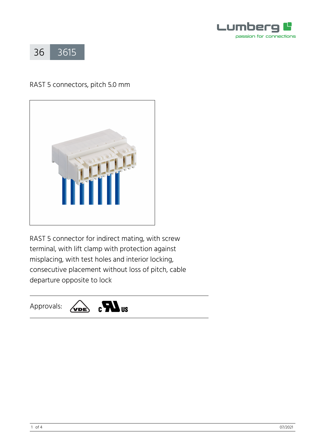



# RAST 5 connectors, pitch 5.0 mm



RAST 5 connector for indirect mating, with screw terminal, with lift clamp with protection against misplacing, with test holes and interior locking, consecutive placement without loss of pitch, cable departure opposite to lock

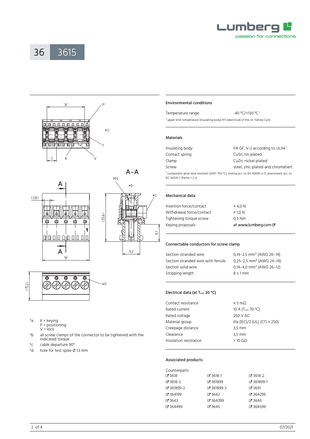







| *a | $K =$ keying      |
|----|-------------------|
|    | $P = positioning$ |
|    | $V = lock$        |
|    |                   |

\*b all screw clamps of the connector to be tightened with the indicated torque

×d

- \*c cable departure 90°
- hole for test spike  $\varnothing$  1.3 mm

# Environmental conditions

| Temperature range | $-40 °C/+130 °C1$                                                                  |
|-------------------|------------------------------------------------------------------------------------|
|                   | ' upper limit temperature (insulating body) RTI (electrical) of the UL Yellow Card |

#### Materials

| Insulating body                                                                                                                          | PA GF, V-2 according to UL94 <sup>1</sup> |  |
|------------------------------------------------------------------------------------------------------------------------------------------|-------------------------------------------|--|
| Contact spring                                                                                                                           | CuSn, tin-plated                          |  |
| Clamp                                                                                                                                    | CuZn, nickel-plated                       |  |
| Screw                                                                                                                                    | steel, zinc-plated and chromatiert        |  |
| <sup>1</sup> component glow wire resistant (GWT 750 °C), testing acc. to IEC 60695-2-11, assessment acc. to<br>IEC 60335-1 (flame < 2 s) |                                           |  |

## Mechanical data

| Insertion force/contact  | $\leq 4.0 N$         |
|--------------------------|----------------------|
| Withdrawal force/contact | $\geq 1.0 N$         |
| Tightening torque screw  | 0,5 Nm               |
| Keying proposals         | at www.lumberg.com & |
|                          |                      |

#### Connectable conductors for screw clamp

| Section stranded wire              | 0,14-2,5 mm <sup>2</sup> (AWG 26-14) |
|------------------------------------|--------------------------------------|
| Section stranded wire with ferrule | 0,25-2,5 mm <sup>2</sup> (AWG 24-14) |
| Section solid wire                 | 0,14-4,0 mm <sup>2</sup> (AWG 26-12) |
| Stripping length                   | $8 \pm 1$ mm                         |
|                                    |                                      |

## Electrical data (at T<sub>amb</sub> 20 °C)

| Contact resistance    | $\leq$ 5 m $\Omega$           |  |  |
|-----------------------|-------------------------------|--|--|
| Rated current         | 10 A (T <sub>amb</sub> 70 °C) |  |  |
| Rated voltage         | 250 V AC                      |  |  |
| Material group        | IIIa (IEC)/2 (UL) (CTI ≥ 250) |  |  |
| Creepage distance     | $3.5 \, \text{mm}$            |  |  |
| Clearance             | $3.5 \, \text{mm}$            |  |  |
| Insulation resistance | $>10$ GO                      |  |  |

## Associated products

| Counterparts |            |            |
|--------------|------------|------------|
| ේ 3618       | ේ 3618-1   | $C$ 3618-2 |
| ේ 3618-3     | ₹ 361899   | ♂ 361899-1 |
| ぴ 361899-2   | ₹ 361899-3 | $C$ 3641   |
| ේ 364199     | $C = 3642$ | Z 364299   |
| ේ 3643       | ₹ 364399   | $C$ 3644   |
| ි 364499     | ₹ 3645     | ₹ 364599   |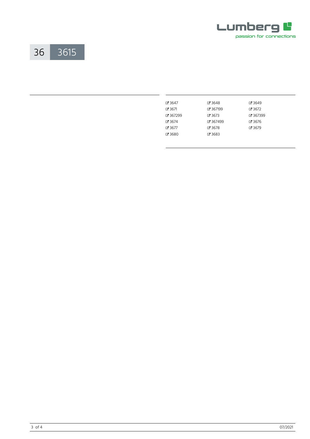



| $C$ 3647   | 73648      | $C$ 3649      |
|------------|------------|---------------|
| $C = 3671$ | で 367199   | $C = 3672$    |
| $C$ 367299 | $C = 3673$ | ₹ 367399      |
| $C = 3674$ | ₹ 367499   | $C = 3676$    |
| $C = 3677$ | ි 3678     | <b>Z</b> 3679 |
| C 3680     | C 3683     |               |
|            |            |               |